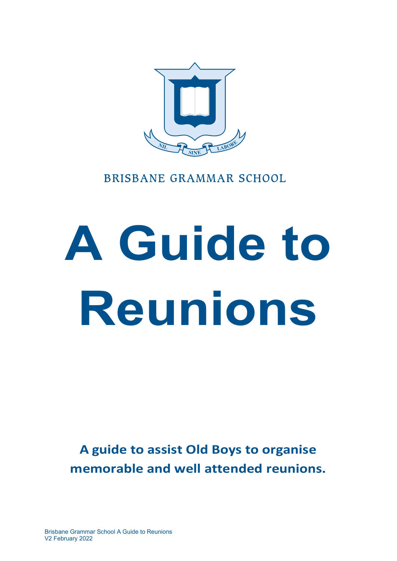

# **BRISBANE GRAMMAR SCHOOL**

# **A Guide to Reunions**

**A guide to assist Old Boys to organise memorable and well attended reunions.**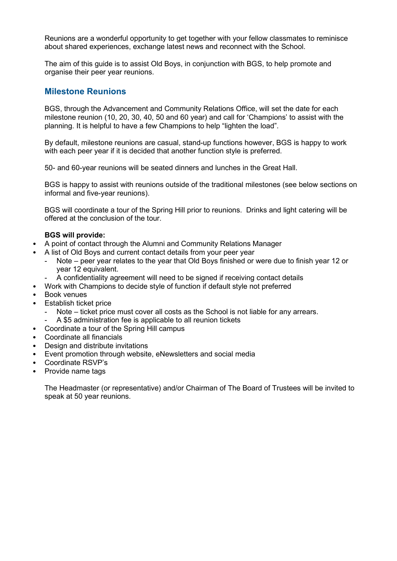Reunions are a wonderful opportunity to get together with your fellow classmates to reminisce about shared experiences, exchange latest news and reconnect with the School.

The aim of this guide is to assist Old Boys, in conjunction with BGS, to help promote and organise their peer year reunions.

#### **Milestone Reunions**

BGS, through the Advancement and Community Relations Office, will set the date for each milestone reunion (10, 20, 30, 40, 50 and 60 year) and call for 'Champions' to assist with the planning. It is helpful to have a few Champions to help "lighten the load".

By default, milestone reunions are casual, stand-up functions however, BGS is happy to work with each peer year if it is decided that another function style is preferred.

50- and 60-year reunions will be seated dinners and lunches in the Great Hall.

BGS is happy to assist with reunions outside of the traditional milestones (see below sections on informal and five-year reunions).

BGS will coordinate a tour of the Spring Hill prior to reunions. Drinks and light catering will be offered at the conclusion of the tour.

#### **BGS will provide:**

- A point of contact through the Alumni and Community Relations Manager
- A list of Old Boys and current contact details from your peer year
	- Note peer year relates to the year that Old Boys finished or were due to finish year 12 or year 12 equivalent.
	- A confidentiality agreement will need to be signed if receiving contact details
- Work with Champions to decide style of function if default style not preferred
- Book venues
- Establish ticket price
	- Note ticket price must cover all costs as the School is not liable for any arrears.
	- A \$5 administration fee is applicable to all reunion tickets
- Coordinate a tour of the Spring Hill campus
- Coordinate all financials
- Design and distribute invitations
- Event promotion through website, eNewsletters and social media
- Coordinate RSVP's
- Provide name tags

The Headmaster (or representative) and/or Chairman of The Board of Trustees will be invited to speak at 50 year reunions.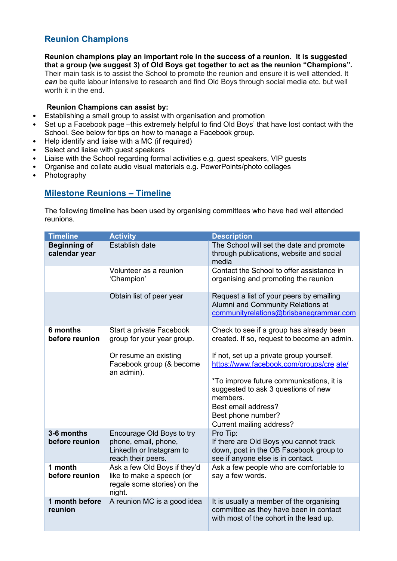# **Reunion Champions**

**Reunion champions play an important role in the success of a reunion. It is suggested that a group (we suggest 3) of Old Boys get together to act as the reunion "Champions".**  Their main task is to assist the School to promote the reunion and ensure it is well attended. It *can* be quite labour intensive to research and find Old Boys through social media etc. but well worth it in the end.

#### **Reunion Champions can assist by:**

- Establishing a small group to assist with organisation and promotion
- Set up a Facebook page –this extremely helpful to find Old Boys' that have lost contact with the School. See below for tips on how to manage a Facebook group.
- Help identify and liaise with a MC (if required)
- Select and liaise with guest speakers
- Liaise with the School regarding formal activities e.g. guest speakers, VIP guests
- Organise and collate audio visual materials e.g. PowerPoints/photo collages
- Photography

#### **Milestone Reunions – Timeline**

The following timeline has been used by organising committees who have had well attended reunions.

| <b>Timeline</b>                      | <b>Activity</b>                                                                                     | <b>Description</b>                                                                                                                                                                                                                                           |
|--------------------------------------|-----------------------------------------------------------------------------------------------------|--------------------------------------------------------------------------------------------------------------------------------------------------------------------------------------------------------------------------------------------------------------|
| <b>Beginning of</b><br>calendar year | <b>Establish date</b>                                                                               | The School will set the date and promote<br>through publications, website and social<br>media                                                                                                                                                                |
|                                      | Volunteer as a reunion<br>'Champion'                                                                | Contact the School to offer assistance in<br>organising and promoting the reunion                                                                                                                                                                            |
|                                      | Obtain list of peer year                                                                            | Request a list of your peers by emailing<br>Alumni and Community Relations at<br>communityrelations@brisbanegrammar.com                                                                                                                                      |
| 6 months<br>before reunion           | Start a private Facebook<br>group for your year group.                                              | Check to see if a group has already been<br>created. If so, request to become an admin.                                                                                                                                                                      |
|                                      | Or resume an existing<br>Facebook group (& become<br>an admin).                                     | If not, set up a private group yourself.<br>https://www.facebook.com/groups/cre ate/<br>*To improve future communications, it is<br>suggested to ask 3 questions of new<br>members.<br>Best email address?<br>Best phone number?<br>Current mailing address? |
| 3-6 months<br>before reunion         | Encourage Old Boys to try<br>phone, email, phone,<br>LinkedIn or Instagram to<br>reach their peers. | Pro Tip:<br>If there are Old Boys you cannot track<br>down, post in the OB Facebook group to<br>see if anyone else is in contact.                                                                                                                            |
| 1 month<br>before reunion            | Ask a few Old Boys if they'd<br>like to make a speech (or<br>regale some stories) on the<br>night.  | Ask a few people who are comfortable to<br>say a few words.                                                                                                                                                                                                  |
| 1 month before<br>reunion            | A reunion MC is a good idea                                                                         | It is usually a member of the organising<br>committee as they have been in contact<br>with most of the cohort in the lead up.                                                                                                                                |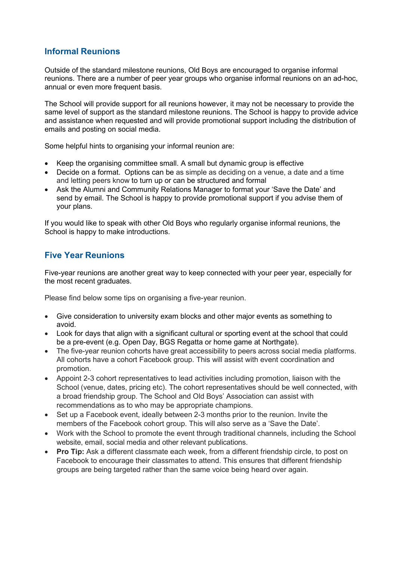#### **Informal Reunions**

Outside of the standard milestone reunions, Old Boys are encouraged to organise informal reunions. There are a number of peer year groups who organise informal reunions on an ad-hoc, annual or even more frequent basis.

The School will provide support for all reunions however, it may not be necessary to provide the same level of support as the standard milestone reunions. The School is happy to provide advice and assistance when requested and will provide promotional support including the distribution of emails and posting on social media.

Some helpful hints to organising your informal reunion are:

- Keep the organising committee small. A small but dynamic group is effective
- Decide on a format. Options can be as simple as deciding on a venue, a date and a time and letting peers know to turn up or can be structured and formal
- Ask the Alumni and Community Relations Manager to format your 'Save the Date' and send by email. The School is happy to provide promotional support if you advise them of your plans.

If you would like to speak with other Old Boys who regularly organise informal reunions, the School is happy to make introductions.

#### **Five Year Reunions**

Five-year reunions are another great way to keep connected with your peer year, especially for the most recent graduates.

Please find below some tips on organising a five-year reunion.

- Give consideration to university exam blocks and other major events as something to avoid.
- Look for days that align with a significant cultural or sporting event at the school that could be a pre-event (e.g. Open Day, BGS Regatta or home game at Northgate).
- The five-year reunion cohorts have great accessibility to peers across social media platforms. All cohorts have a cohort Facebook group. This will assist with event coordination and promotion.
- Appoint 2-3 cohort representatives to lead activities including promotion, liaison with the School (venue, dates, pricing etc). The cohort representatives should be well connected, with a broad friendship group. The School and Old Boys' Association can assist with recommendations as to who may be appropriate champions.
- Set up a Facebook event, ideally between 2-3 months prior to the reunion. Invite the members of the Facebook cohort group. This will also serve as a 'Save the Date'.
- Work with the School to promote the event through traditional channels, including the School website, email, social media and other relevant publications.
- **Pro Tip:** Ask a different classmate each week, from a different friendship circle, to post on Facebook to encourage their classmates to attend. This ensures that different friendship groups are being targeted rather than the same voice being heard over again.